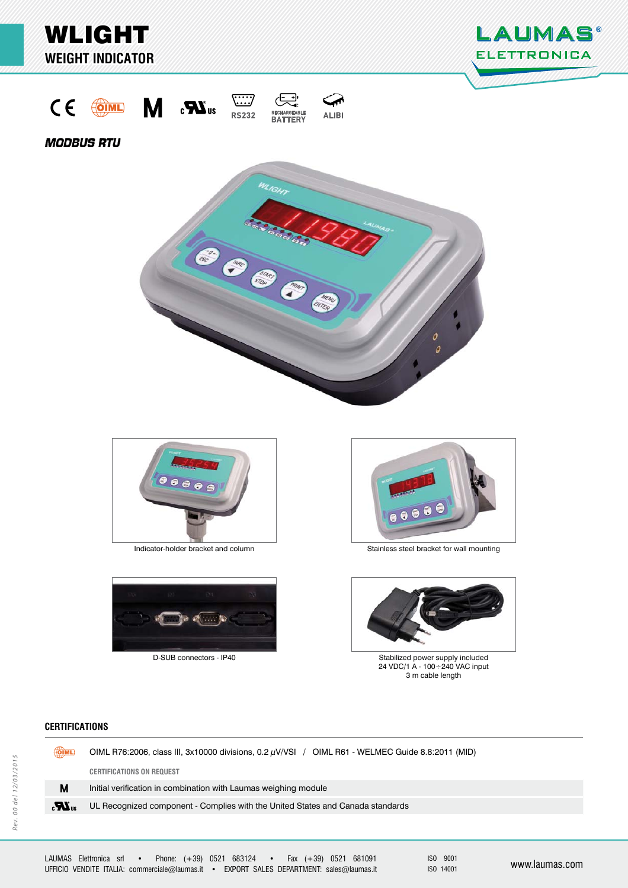

Indicator-holder bracket and column



D-SUB connectors - IP40

Stainless steel bracket for wall mounting



Stabilized power supply included 24 VDC/1 A - 100÷240 VAC input 3 m cable length

# **CERTIFICATIONS ERTIFICATIONS**

|              | OIML | OIML R76:2006, class III, 3x10000 divisions, 0.2 $\mu$ V/VSI / OIML R61 - WELMEC Guide 8.8:2011 (MID) |  |
|--------------|------|-------------------------------------------------------------------------------------------------------|--|
|              |      | <b>CERTIFICATIONS ON REQUEST</b>                                                                      |  |
|              | М    | Initial verification in combination with Laumas weighing module                                       |  |
| $\mathbf{r}$ |      | UL Recognized component - Complies with the United States and Canada standards                        |  |
|              |      |                                                                                                       |  |

ISO 9001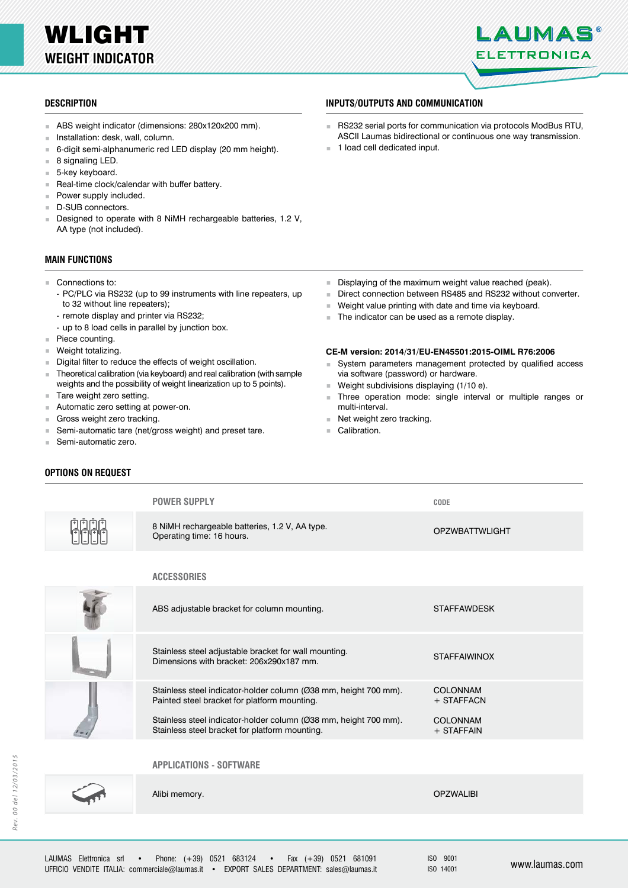# WLIGHT **WEIGHT INDICATOR**



# **DESCRIPTION ESCRIPTIONINPUTS/OUTPUTS AND COMMUNICATION NPUTS/OUTPUTS AND**

- ABS weight indicator (dimensions: 280x120x200 mm).
- **Installation: desk, wall, column.**
- 6-digit semi-alphanumeric red LED display (20 mm height).
- $\blacksquare$  8 signaling LED.
- 5-key keyboard.
- Real-time clock/calendar with buffer battery.
- **Power supply included.**
- D-SUB connectors.
- Designed to operate with 8 NiMH rechargeable batteries, 1.2 V, AA type (not included).

### **MAIN FUNCTIONS**

### ■ Connections to:

- PC/PLC via RS232 (up to 99 instruments with line repeaters, up to 32 without line repeaters);
- remote display and printer via RS232;
- up to 8 load cells in parallel by junction box.
- Piece counting.
- **Weight totalizing.**
- Digital filter to reduce the effects of weight oscillation.
- Theoretical calibration (via keyboard) and real calibration (with sample weights and the possibility of weight linearization up to 5 points).
- Tare weight zero setting.
- Automatic zero setting at power-on.
- Gross weight zero tracking.
- Semi-automatic tare (net/gross weight) and preset tare.
- Semi-automatic zero.

**OPTIONS ON REQUEST PTIONS ON**

1 load cell dedicated input.

- Displaying of the maximum weight value reached (peak).
- Direct connection between RS485 and RS232 without converter.<br>Weight value printing with date and time via keyboard.

 RS232 serial ports for communication via protocols ModBus RTU, ASCII Laumas bidirectional or continuous one way transmission.

- Weight value printing with date and time via keyboard.
- The indicator can be used as a remote display.

### **CE-M version: 2014/31/EU-EN45501:2015-OIML R76:2006**

- System parameters management protected by qualified access via software (password) or hardware.
- Weight subdivisions displaying (1/10 e).
- Three operation mode: single interval or multiple ranges or multi-interval.
- Net weight zero tracking.
- Calibration.

| <b>POWER SUPPLY</b>                                                         | <b>CODE</b>           |
|-----------------------------------------------------------------------------|-----------------------|
| 8 NiMH rechargeable batteries, 1.2 V, AA type.<br>Operating time: 16 hours. | <b>OPZWBATTWLIGHT</b> |
| <b>ACCESSORIES</b>                                                          |                       |

| ABS adjustable bracket for column mounting.                                                                        | <b>STAFFAWDESK</b>              |
|--------------------------------------------------------------------------------------------------------------------|---------------------------------|
| Stainless steel adjustable bracket for wall mounting.<br>Dimensions with bracket: 206x290x187 mm.                  | <b>STAFFAIWINOX</b>             |
| Stainless steel indicator-holder column (Ø38 mm, height 700 mm).<br>Painted steel bracket for platform mounting.   | <b>COLONNAM</b><br>+ STAFFACN   |
| Stainless steel indicator-holder column (Ø38 mm, height 700 mm).<br>Stainless steel bracket for platform mounting. | <b>COLONNAM</b><br>$+$ STAFFAIN |
| <b>APPLICATIONS - SOFTWARE</b>                                                                                     |                                 |



Alibi memory.

OPZWALIBI

ISO 9001